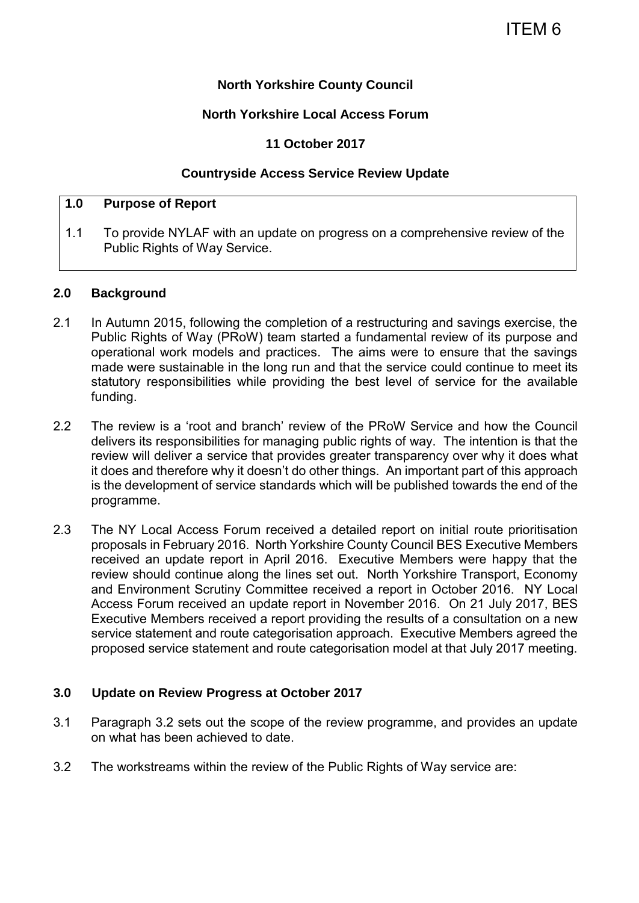## **North Yorkshire County Council**

## **North Yorkshire Local Access Forum**

## **11 October 2017**

### **Countryside Access Service Review Update**

## **1.0 Purpose of Report**

1.1 To provide NYLAF with an update on progress on a comprehensive review of the Public Rights of Way Service.

#### **2.0 Background**

- 2.1 In Autumn 2015, following the completion of a restructuring and savings exercise, the Public Rights of Way (PRoW) team started a fundamental review of its purpose and operational work models and practices. The aims were to ensure that the savings made were sustainable in the long run and that the service could continue to meet its statutory responsibilities while providing the best level of service for the available funding.
- 2.2 The review is a 'root and branch' review of the PRoW Service and how the Council delivers its responsibilities for managing public rights of way. The intention is that the review will deliver a service that provides greater transparency over why it does what it does and therefore why it doesn't do other things. An important part of this approach is the development of service standards which will be published towards the end of the programme.
- 2.3 The NY Local Access Forum received a detailed report on initial route prioritisation proposals in February 2016. North Yorkshire County Council BES Executive Members received an update report in April 2016. Executive Members were happy that the review should continue along the lines set out. North Yorkshire Transport, Economy and Environment Scrutiny Committee received a report in October 2016. NY Local Access Forum received an update report in November 2016. On 21 July 2017, BES Executive Members received a report providing the results of a consultation on a new service statement and route categorisation approach. Executive Members agreed the proposed service statement and route categorisation model at that July 2017 meeting.

## **3.0 Update on Review Progress at October 2017**

- 3.1 Paragraph 3.2 sets out the scope of the review programme, and provides an update on what has been achieved to date.
- 3.2 The workstreams within the review of the Public Rights of Way service are: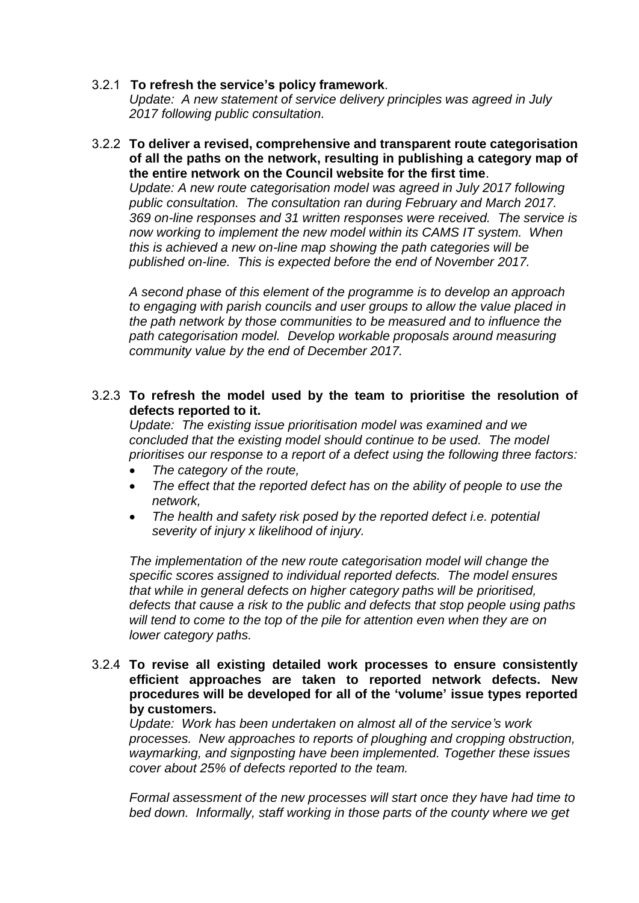### 3.2.1 **To refresh the service's policy framework**.

*Update: A new statement of service delivery principles was agreed in July 2017 following public consultation.* 

#### 3.2.2 **To deliver a revised, comprehensive and transparent route categorisation of all the paths on the network, resulting in publishing a category map of the entire network on the Council website for the first time**.

*Update: A new route categorisation model was agreed in July 2017 following public consultation. The consultation ran during February and March 2017. 369 on-line responses and 31 written responses were received. The service is now working to implement the new model within its CAMS IT system. When this is achieved a new on-line map showing the path categories will be published on-line. This is expected before the end of November 2017.* 

*A second phase of this element of the programme is to develop an approach to engaging with parish councils and user groups to allow the value placed in the path network by those communities to be measured and to influence the path categorisation model. Develop workable proposals around measuring community value by the end of December 2017.* 

### 3.2.3 **To refresh the model used by the team to prioritise the resolution of defects reported to it.**

*Update: The existing issue prioritisation model was examined and we concluded that the existing model should continue to be used. The model prioritises our response to a report of a defect using the following three factors:* 

- *The category of the route,*
- *The effect that the reported defect has on the ability of people to use the network,*
- *The health and safety risk posed by the reported defect i.e. potential severity of injury x likelihood of injury.*

*The implementation of the new route categorisation model will change the specific scores assigned to individual reported defects. The model ensures that while in general defects on higher category paths will be prioritised, defects that cause a risk to the public and defects that stop people using paths will tend to come to the top of the pile for attention even when they are on lower category paths.* 

## 3.2.4 **To revise all existing detailed work processes to ensure consistently efficient approaches are taken to reported network defects. New procedures will be developed for all of the 'volume' issue types reported by customers.**

*Update: Work has been undertaken on almost all of the service's work processes. New approaches to reports of ploughing and cropping obstruction, waymarking, and signposting have been implemented. Together these issues cover about 25% of defects reported to the team.* 

*Formal assessment of the new processes will start once they have had time to bed down. Informally, staff working in those parts of the county where we get*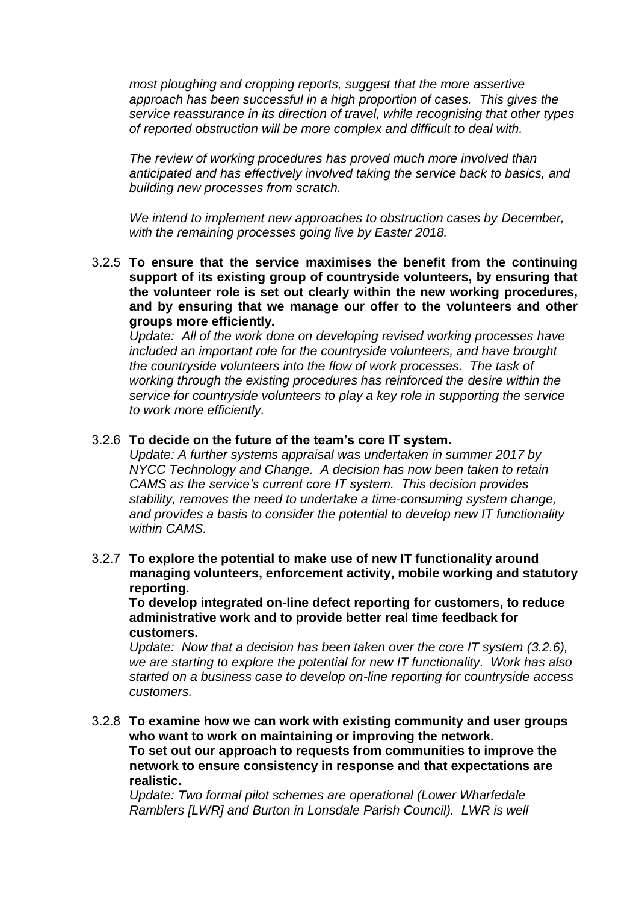*most ploughing and cropping reports, suggest that the more assertive approach has been successful in a high proportion of cases. This gives the service reassurance in its direction of travel, while recognising that other types of reported obstruction will be more complex and difficult to deal with.* 

*The review of working procedures has proved much more involved than anticipated and has effectively involved taking the service back to basics, and building new processes from scratch.* 

*We intend to implement new approaches to obstruction cases by December, with the remaining processes going live by Easter 2018.* 

3.2.5 **To ensure that the service maximises the benefit from the continuing support of its existing group of countryside volunteers, by ensuring that the volunteer role is set out clearly within the new working procedures, and by ensuring that we manage our offer to the volunteers and other groups more efficiently.** 

Update: All of the work done on developing revised working processes have *included an important role for the countryside volunteers, and have brought the countryside volunteers into the flow of work processes. The task of working through the existing procedures has reinforced the desire within the service for countryside volunteers to play a key role in supporting the service to work more efficiently.* 

### 3.2.6 **To decide on the future of the team's core IT system.**

*Update: A further systems appraisal was undertaken in summer 2017 by NYCC Technology and Change. A decision has now been taken to retain CAMS as the service's current core IT system. This decision provides stability, removes the need to undertake a time-consuming system change, and provides a basis to consider the potential to develop new IT functionality within CAMS.* 

3.2.7 **To explore the potential to make use of new IT functionality around managing volunteers, enforcement activity, mobile working and statutory reporting.** 

**To develop integrated on-line defect reporting for customers, to reduce administrative work and to provide better real time feedback for customers.** 

*Update: Now that a decision has been taken over the core IT system (3.2.6), we are starting to explore the potential for new IT functionality. Work has also started on a business case to develop on-line reporting for countryside access customers.* 

3.2.8 **To examine how we can work with existing community and user groups who want to work on maintaining or improving the network. To set out our approach to requests from communities to improve the network to ensure consistency in response and that expectations are realistic.** 

*Update: Two formal pilot schemes are operational (Lower Wharfedale Ramblers [LWR] and Burton in Lonsdale Parish Council). LWR is well*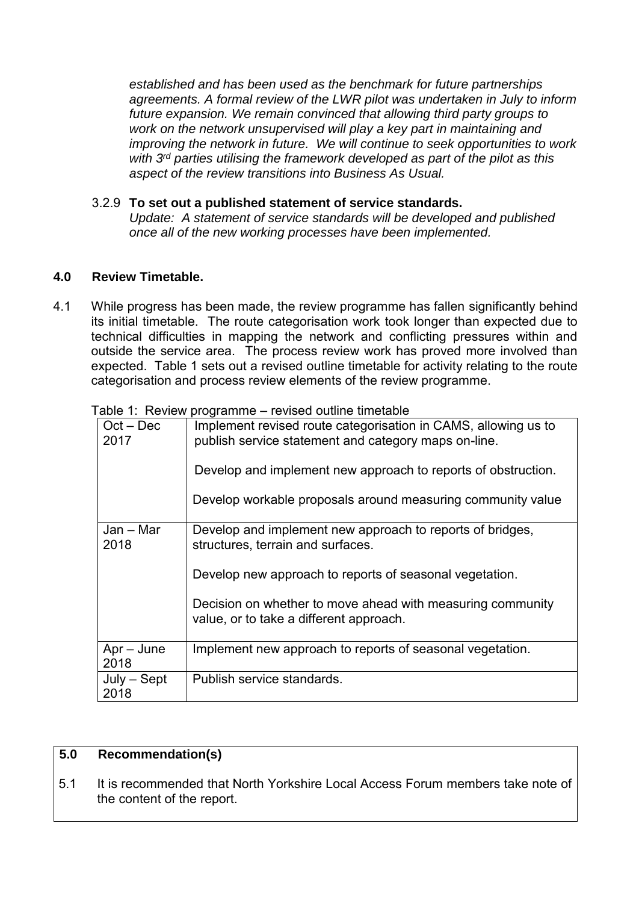*established and has been used as the benchmark for future partnerships agreements. A formal review of the LWR pilot was undertaken in July to inform future expansion. We remain convinced that allowing third party groups to work on the network unsupervised will play a key part in maintaining and improving the network in future. We will continue to seek opportunities to work with 3rd parties utilising the framework developed as part of the pilot as this aspect of the review transitions into Business As Usual.* 

## 3.2.9 **To set out a published statement of service standards.**

*Update: A statement of service standards will be developed and published once all of the new working processes have been implemented.* 

# **4.0 Review Timetable.**

4.1 While progress has been made, the review programme has fallen significantly behind its initial timetable. The route categorisation work took longer than expected due to technical difficulties in mapping the network and conflicting pressures within and outside the service area. The process review work has proved more involved than expected. Table 1 sets out a revised outline timetable for activity relating to the route categorisation and process review elements of the review programme.

| $Oct - Dec$<br>2017   | Implement revised route categorisation in CAMS, allowing us to<br>publish service statement and category maps on-line. |
|-----------------------|------------------------------------------------------------------------------------------------------------------------|
|                       | Develop and implement new approach to reports of obstruction.                                                          |
|                       | Develop workable proposals around measuring community value                                                            |
| $Jan - Mar$<br>2018   | Develop and implement new approach to reports of bridges,<br>structures, terrain and surfaces.                         |
|                       | Develop new approach to reports of seasonal vegetation.                                                                |
|                       | Decision on whether to move ahead with measuring community<br>value, or to take a different approach.                  |
| $Apr - June$<br>2018  | Implement new approach to reports of seasonal vegetation.                                                              |
| $July - Sept$<br>2018 | Publish service standards.                                                                                             |

Table 1: Review programme – revised outline timetable

## **5.0 Recommendation(s)**

5.1 It is recommended that North Yorkshire Local Access Forum members take note of the content of the report.